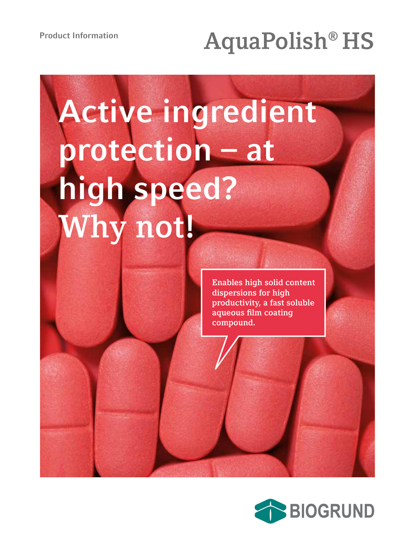## **Product Information AquaPolish® HS**

# **Active ingredient protection – at high speed? Why not!**

**Enables high solid content dispersions for high productivity, a fast soluble aqueous film coating compound.**